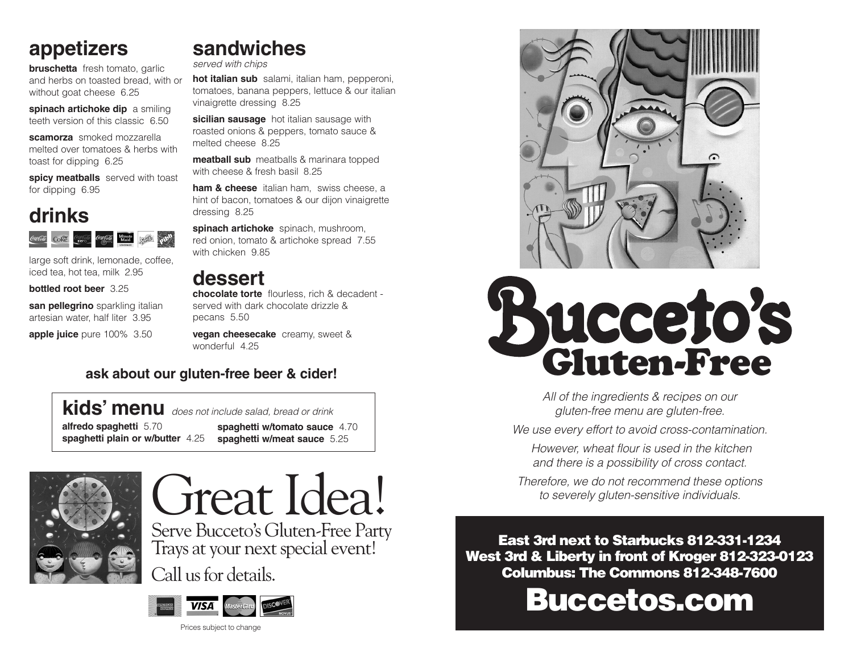### **appetizers**

**bruschetta** fresh tomato, garlic and herbs on toasted bread, with or without goat cheese 6.25

**spinach artichoke dip** a smiling teeth version of this classic 6.50

**scamorza** smoked mozzarella melted over tomatoes & herbs with toast for dipping 6.25

spicy meatballs served with toast for dipping 6.95

#### **drinks** Minute Sprie **Coke**

large soft drink, lemonade, coffee, iced tea, hot tea, milk 2.95

**bottled root beer** 3.25

**san pellegrino** sparkling italian artesian water, half liter 3.95

**apple juice** pure 100% 3.50

**sandwiches** *served with chips*

**hot italian sub** salami, italian ham, pepperoni, tomatoes, banana peppers, lettuce & our italian vinaigrette dressing 8.25

sicilian sausage hot italian sausage with roasted onions & peppers, tomato sauce & melted cheese 8.25

**meatball sub** meatballs & marinara topped with cheese & fresh basil 8.25

**ham & cheese** italian ham, swiss cheese, a hint of bacon, tomatoes & our dijon vinaigrette dressing 8.25

**spinach artichoke** spinach, mushroom, red onion, tomato & artichoke spread 7.55 with chicken 9.85

**dessert chocolate torte** flourless, rich & decadent served with dark chocolate drizzle & pecans 5.50

**vegan cheesecake** creamy, sweet & wonderful 4.25

#### **ask about our gluten-free beer & cider!**

#### **kids' menu** *does not include salad, bread or drink*

**alfredo spaghetti** 5.70 **spaghetti plain or w/butter** 4.25

**spaghetti w/tomato sauce** 4.70 **spaghetti w/meat sauce** 5.25



# Great Idea!

Serve Bucceto's Gluten-Free Party Trays at your next special event!

Call us for details.



Prices subject to change





*All of the ingredients & recipes on our gluten-free menu are gluten-free.* 

*We use every effort to avoid cross-contamination.*

 *However, wheat flour is used in the kitchen and there is a possibility of cross contact.* 

*Therefore, we do not recommend these options to severely gluten-sensitive individuals.*

East 3rd next to Starbucks 812-331-1234 West 3rd & Liberty in front of Kroger 812-323-0123 Columbus: The Commons 812-348-7600

Buccetos.com